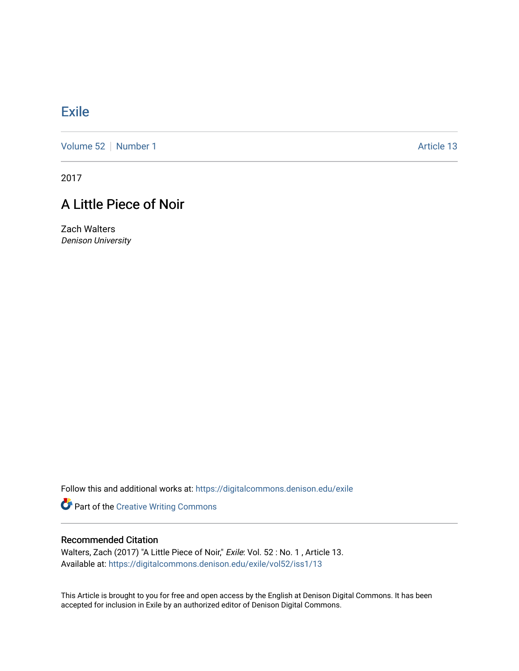## **[Exile](https://digitalcommons.denison.edu/exile)**

[Volume 52](https://digitalcommons.denison.edu/exile/vol52) [Number 1](https://digitalcommons.denison.edu/exile/vol52/iss1) Article 13

2017

## A Little Piece of Noir

Zach Walters Denison University

Follow this and additional works at: [https://digitalcommons.denison.edu/exile](https://digitalcommons.denison.edu/exile?utm_source=digitalcommons.denison.edu%2Fexile%2Fvol52%2Fiss1%2F13&utm_medium=PDF&utm_campaign=PDFCoverPages) 

Part of the [Creative Writing Commons](http://network.bepress.com/hgg/discipline/574?utm_source=digitalcommons.denison.edu%2Fexile%2Fvol52%2Fiss1%2F13&utm_medium=PDF&utm_campaign=PDFCoverPages) 

## Recommended Citation

Walters, Zach (2017) "A Little Piece of Noir," Exile: Vol. 52 : No. 1, Article 13. Available at: [https://digitalcommons.denison.edu/exile/vol52/iss1/13](https://digitalcommons.denison.edu/exile/vol52/iss1/13?utm_source=digitalcommons.denison.edu%2Fexile%2Fvol52%2Fiss1%2F13&utm_medium=PDF&utm_campaign=PDFCoverPages)

This Article is brought to you for free and open access by the English at Denison Digital Commons. It has been accepted for inclusion in Exile by an authorized editor of Denison Digital Commons.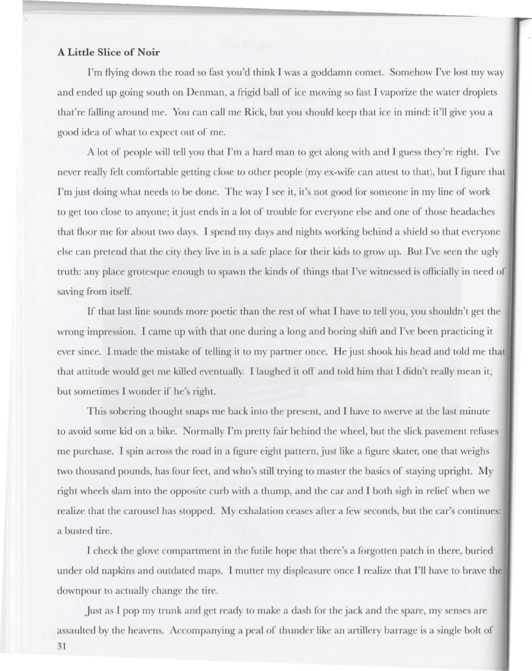## **A Little Slice of Noir**

I'm flying down the road so fast you'd think I was a goddamn comet. Somehow I've lost my way and ended up going south on Denman, a frigid ball of ice moving so fast I vaporize the water droplets that're falling around me. You can call me Rick, but you should keep that ice in mind: it'll give you a good idea of what to expect out of me.

A lot of people will tell you that I'm a hard man to get along with and I guess they're right. I've never really felt comfortable getting close to other people (my ex-wife can attest to that), but I figure that I'm just doing what needs to be done. The way I see it, it's not good for someone in my line of work to get too close to anyone; it just ends in a lot of trouble for everyone else and one of those headaches that floor me for about two days. I spend my days and nights working behind a shield so that everyone else can pretend that the city they live in is a safe place for their kids to grow up. But I've seen the ugly truth: any place grotesque enough to spawn the kinds of things that I've witnessed is officially in need of saving from itself.

If that last line sounds more poetic than the rest of what I have to tell you, you shouldn't get the wrong impression. I came up with that one during a long and boring shift and I've been practicing it ever since. I made the mistake of telling it to my partner once. He just shook his head and told me that that attitude would get me killed eventually. I laughed it off and told him that I didn't really mean it, but sometimes **J** wonder if he's right.

This sobering thought snaps me back into the present, and I have to swerve at the last minute to avoid some kid on a bike. Normally I'm pretty fair behind the wheel, but the slick pavement refuses me purchase. I spin across the road in a figure eight pattern, just like a figure skater, one that weighs two thousand pounds, has four feet, and who's still trying to master the basics of staying upright. My right wheels slam into the opposite curb with a thump, and the car and I both sigh in relief when we realize that the carousel has stopped. My exhalation ceases after a few seconds, but the car's continues: a busted tire

I check the glove compartment in the futile hope that there's a forgotten patch in there, buried under old napkins and outdated maps. I mutter my displeasure once I realize that I'll have to brave the downpour to actually change the tire.

Just as I pop my trunk and get ready to make a dash for the jack and the spare, my senses are assaulted by the heavens. Accompanying a peal of thunder like an artillery barrage is a single bolt of

31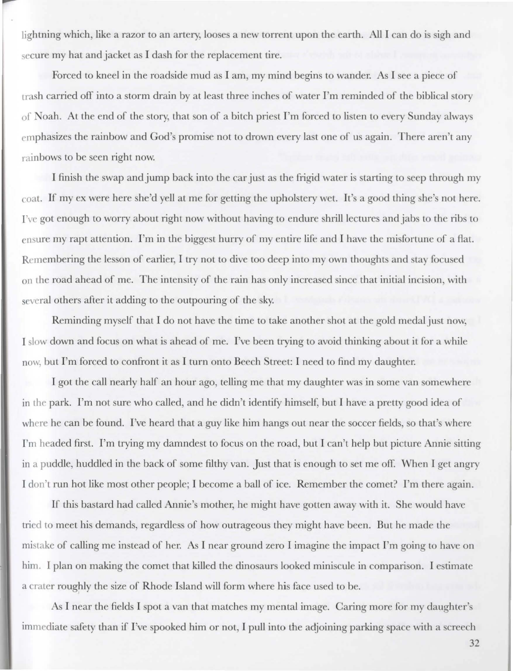lightning which, like a razor to an artery, looses a new torrent upon the earth. All I can do is sigh and secure my hat and jacket as I dash for the replacement tire.

Forced to kneel in the roadside mud as I am, my mind begins to wander. As I see a piece of trash carried off into a storm drain by at least three inches of water I'm reminded of the biblical story of Noah. At the end of the story, that son of a bitch priest I'm forced to listen to every Sunday always emphasizes the rainbow and God's promise not to drown every last one of us again. There aren't any rain bows to be seen right now.

I finish the swap and jump back into the car just as the frigid water is starting to seep through my coat. If my ex were here she'd yell at me for getting the upholstery wet. It's a good thing she's not here. I've got enough to worry about right now without having to endure shrill lectures and jabs to the ribs to ensure my rapt attention. I'm in the biggest hurry of my entire life and I have the misfortune of a flat. Remembering the lesson of earlier, I try not to dive too deep into my own thoughts and stay focused on the road ahead of me. The intensity of the rain has only increased since that initial incision, with several others after it adding to the outpouring of the sky.

Reminding myself that I do not have the time to take another shot at the gold medal just now, I slow down and focus on what is ahead of me. I've been trying to avoid thinking about it for a while now, but I'm forced to confront it as I turn onto Beech Street: I need to find my daughter.

I got the call nearly half an hour ago, telling me that my daughter was in some van somewhere in the park. I'm not sure who called, a nd he didn't identify himself, but **l** have a pretty good idea or where he can be found. I've heard that a guy like him hangs out near the soccer fields, so that's where I'm headed first. I'm trying my damndest to focus on the road, but I can't help but picture Annie sitting in a puddle, huddled in the back of some filthy van. Just that is enough to set me off. When I get angry I don't run hot like most other people; I become a ball of ice. Remember the comet? I'm there again.

If this bastard had called Annie's mother, he might have gotten away with it. She would have tried to meet his demands, regardless of how outrageous they might have been. But he made the mistake of calling me instead of her. As I near ground zero I imagine the impact I'm going to have on him. I plan on making the comet that killed the dinosaurs looked miniscule in comparison. I estimate a crater roughly the size of Rhode Island will form where his face used to be.

As I near the fields I spot a van that matches my mental image. Caring more for my daughter's immediate safety than if I've spooked him or not, I pull into the adjoining parking space with a screech

32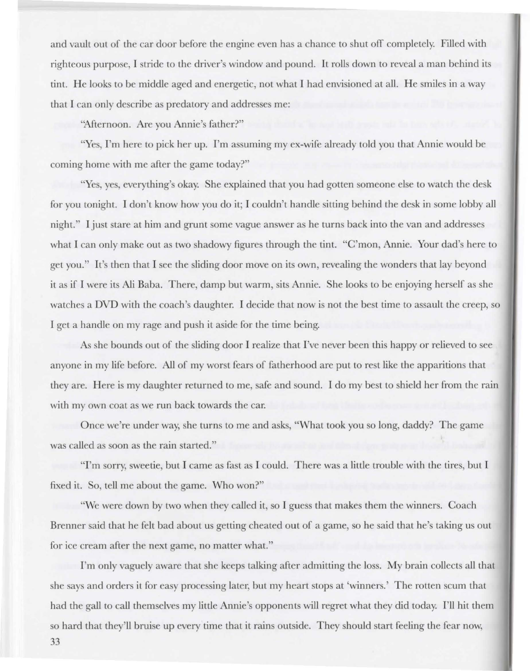and vault out of the car door before the engine even has a chance to shut off completely. Filled with righteous purpose, I stride to the driver's window and pound. It rolls down to reveal a man behind its tint. He looks to be middle aged and energetic, not what 1 had envisioned at all. He smiles in a way that I can only describe as predatory and addresses me:

"Afternoon. Are you Annie's father?"

"Yes, I'm here to pick her up. I'm assuming my ex-wife already told you that Annie would be coming home with me after the game today?"

"Yes, yes, everything's okay. She explained that you had gotten someone else to watch the desk for you tonight. I don't know how you do it: I couldn't handle sitting behind the desk in some lobby all night." I just stare at him and grunt some vague answer as he turns back into the van and addresses what I can only make out as two shadowy figures through the tint. "C'mon, Annie. Your dad's here to get you. " It's then that I see the sliding door move on its own, revealing the wonders that lay beyond it as if I were its Ali Baba. There, damp but warm, sits Annie. She looks to be enjoying herself as she watches a DVD with the coach's daughter. I decide that now is not the best time to assault the creep, so I get a handle on my rage and push it aside for the time being.

As he bounds out of the tiding door I realize that I've never been this happy or relieved to see anyone in my life before. All of my worst fears of fatherhood are put to rest like the apparitions that they are. Here is my daughter returned to me, safe and sound. I do my best to shield her from the rain with my own coat as we run back towards the car.

Once we're under way, she turns to me and asks, "What took you so long, daddy? The game was called as soon as the rain started."

"I'm sorry, sweetie, but I came as fast as I could. There was a little trouble with the tires, but I fixed it. So, tell me about the game. Who won?"

"We were down by two when they called it, so I guess that makes them the winners. Coach Brenner said that he felt bad about us getting cheated out of a game, so he said that he's taking us out for ice cream after the next game, no matter what."

I'm only vaguely aware that she keeps talking after admitting the loss. My brain collects all that she says and orders it for easy processing later, but my heart tops at 'winners.' The rotten scum that had the gall to call themselves my little Annie's opponents will regret what they did today. I'll hit them so hard that they'll bruise up every time that it rains outside. They should start feeling the fear now,

33